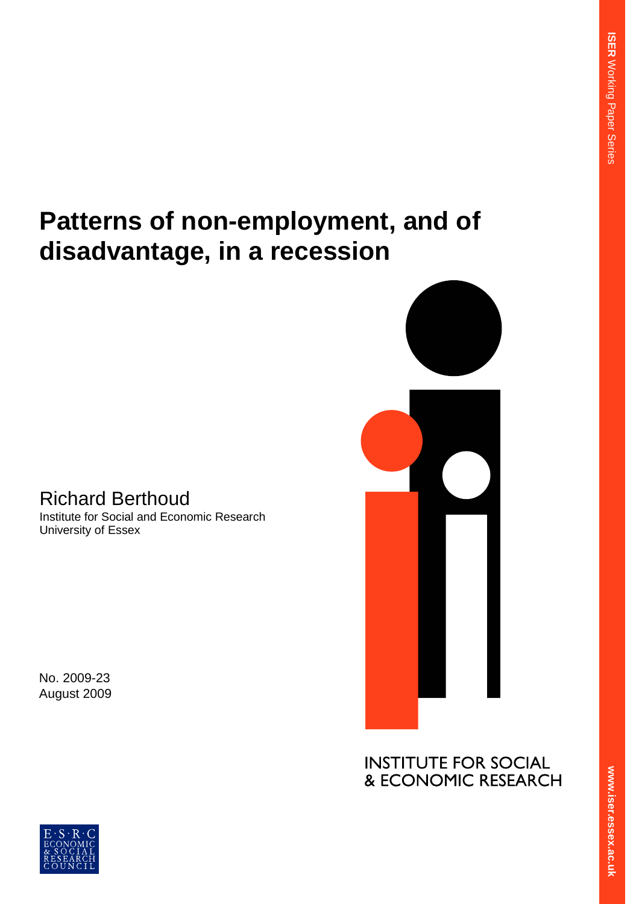# **Patterns of non-employment, and of disadvantage, in a recession**

# Richard Berthoud

Institute for Social and Economic Research University of Essex

No. 2009-23 August 2009



**INSTITUTE FOR SOCIAL** & ECONOMIC RESEARCH

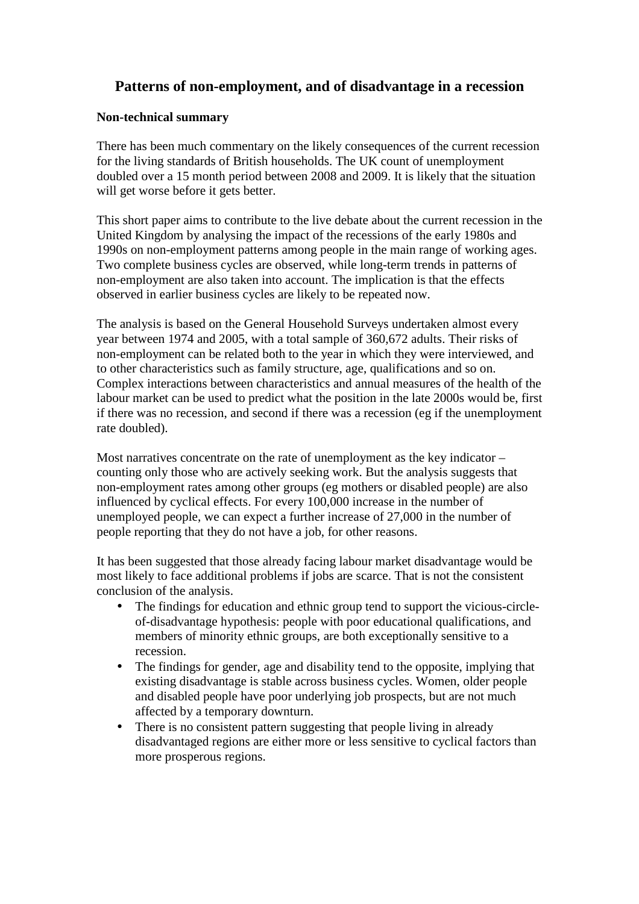### **Patterns of non-employment, and of disadvantage in a recession**

#### **Non-technical summary**

There has been much commentary on the likely consequences of the current recession for the living standards of British households. The UK count of unemployment doubled over a 15 month period between 2008 and 2009. It is likely that the situation will get worse before it gets better.

This short paper aims to contribute to the live debate about the current recession in the United Kingdom by analysing the impact of the recessions of the early 1980s and 1990s on non-employment patterns among people in the main range of working ages. Two complete business cycles are observed, while long-term trends in patterns of non-employment are also taken into account. The implication is that the effects observed in earlier business cycles are likely to be repeated now.

The analysis is based on the General Household Surveys undertaken almost every year between 1974 and 2005, with a total sample of 360,672 adults. Their risks of non-employment can be related both to the year in which they were interviewed, and to other characteristics such as family structure, age, qualifications and so on. Complex interactions between characteristics and annual measures of the health of the labour market can be used to predict what the position in the late 2000s would be, first if there was no recession, and second if there was a recession (eg if the unemployment rate doubled).

Most narratives concentrate on the rate of unemployment as the key indicator – counting only those who are actively seeking work. But the analysis suggests that non-employment rates among other groups (eg mothers or disabled people) are also influenced by cyclical effects. For every 100,000 increase in the number of unemployed people, we can expect a further increase of 27,000 in the number of people reporting that they do not have a job, for other reasons.

It has been suggested that those already facing labour market disadvantage would be most likely to face additional problems if jobs are scarce. That is not the consistent conclusion of the analysis.

- The findings for education and ethnic group tend to support the vicious-circleof-disadvantage hypothesis: people with poor educational qualifications, and members of minority ethnic groups, are both exceptionally sensitive to a recession.
- The findings for gender, age and disability tend to the opposite, implying that existing disadvantage is stable across business cycles. Women, older people and disabled people have poor underlying job prospects, but are not much affected by a temporary downturn.
- There is no consistent pattern suggesting that people living in already disadvantaged regions are either more or less sensitive to cyclical factors than more prosperous regions.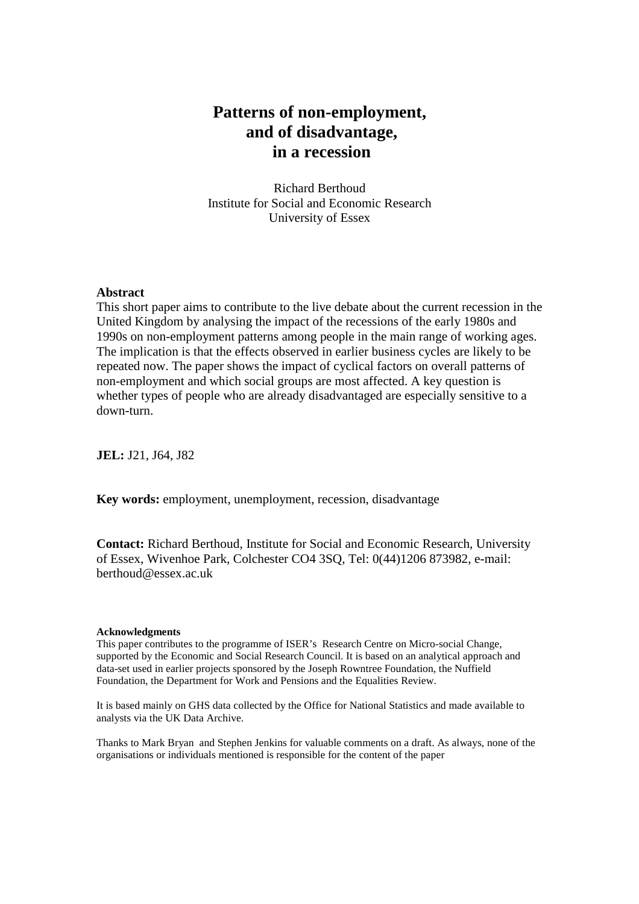## **Patterns of non-employment, and of disadvantage, in a recession**

Richard Berthoud Institute for Social and Economic Research University of Essex

#### **Abstract**

This short paper aims to contribute to the live debate about the current recession in the United Kingdom by analysing the impact of the recessions of the early 1980s and 1990s on non-employment patterns among people in the main range of working ages. The implication is that the effects observed in earlier business cycles are likely to be repeated now. The paper shows the impact of cyclical factors on overall patterns of non-employment and which social groups are most affected. A key question is whether types of people who are already disadvantaged are especially sensitive to a down-turn.

**JEL:** J21, J64, J82

**Key words:** employment, unemployment, recession, disadvantage

**Contact:** Richard Berthoud, Institute for Social and Economic Research, University of Essex, Wivenhoe Park, Colchester CO4 3SQ, Tel: 0(44)1206 873982, e-mail: berthoud@essex.ac.uk

#### **Acknowledgments**

This paper contributes to the programme of ISER's Research Centre on Micro-social Change, supported by the Economic and Social Research Council. It is based on an analytical approach and data-set used in earlier projects sponsored by the Joseph Rowntree Foundation, the Nuffield Foundation, the Department for Work and Pensions and the Equalities Review.

It is based mainly on GHS data collected by the Office for National Statistics and made available to analysts via the UK Data Archive.

Thanks to Mark Bryan and Stephen Jenkins for valuable comments on a draft. As always, none of the organisations or individuals mentioned is responsible for the content of the paper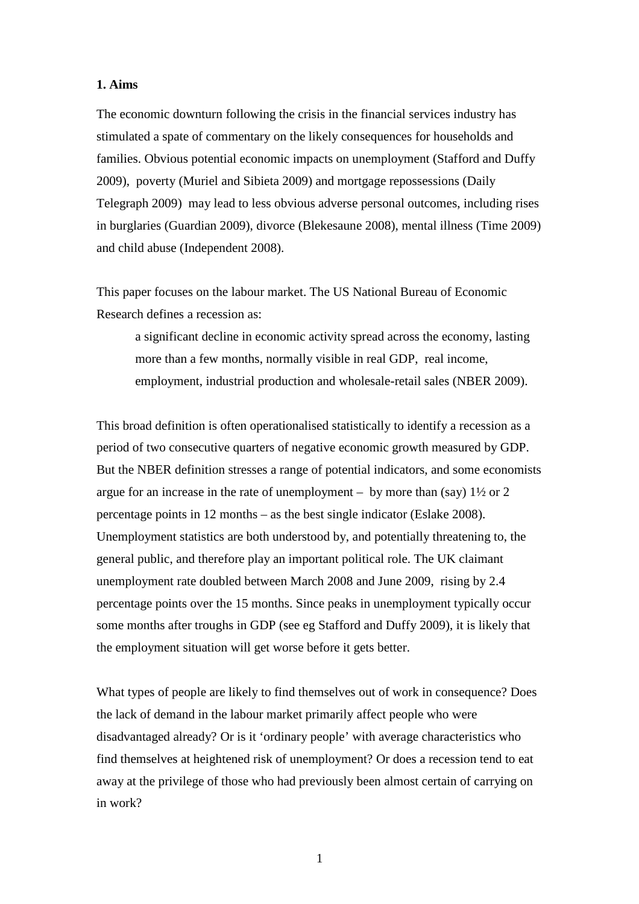#### **1. Aims**

The economic downturn following the crisis in the financial services industry has stimulated a spate of commentary on the likely consequences for households and families. Obvious potential economic impacts on unemployment (Stafford and Duffy 2009), poverty (Muriel and Sibieta 2009) and mortgage repossessions (Daily Telegraph 2009) may lead to less obvious adverse personal outcomes, including rises in burglaries (Guardian 2009), divorce (Blekesaune 2008), mental illness (Time 2009) and child abuse (Independent 2008).

This paper focuses on the labour market. The US National Bureau of Economic Research defines a recession as:

a significant decline in economic activity spread across the economy, lasting more than a few months, normally visible in real GDP, real income, employment, industrial production and wholesale-retail sales (NBER 2009).

This broad definition is often operationalised statistically to identify a recession as a period of two consecutive quarters of negative economic growth measured by GDP. But the NBER definition stresses a range of potential indicators, and some economists argue for an increase in the rate of unemployment – by more than (say)  $1\frac{1}{2}$  or 2 percentage points in 12 months – as the best single indicator (Eslake 2008). Unemployment statistics are both understood by, and potentially threatening to, the general public, and therefore play an important political role. The UK claimant unemployment rate doubled between March 2008 and June 2009, rising by 2.4 percentage points over the 15 months. Since peaks in unemployment typically occur some months after troughs in GDP (see eg Stafford and Duffy 2009), it is likely that the employment situation will get worse before it gets better.

What types of people are likely to find themselves out of work in consequence? Does the lack of demand in the labour market primarily affect people who were disadvantaged already? Or is it 'ordinary people' with average characteristics who find themselves at heightened risk of unemployment? Or does a recession tend to eat away at the privilege of those who had previously been almost certain of carrying on in work?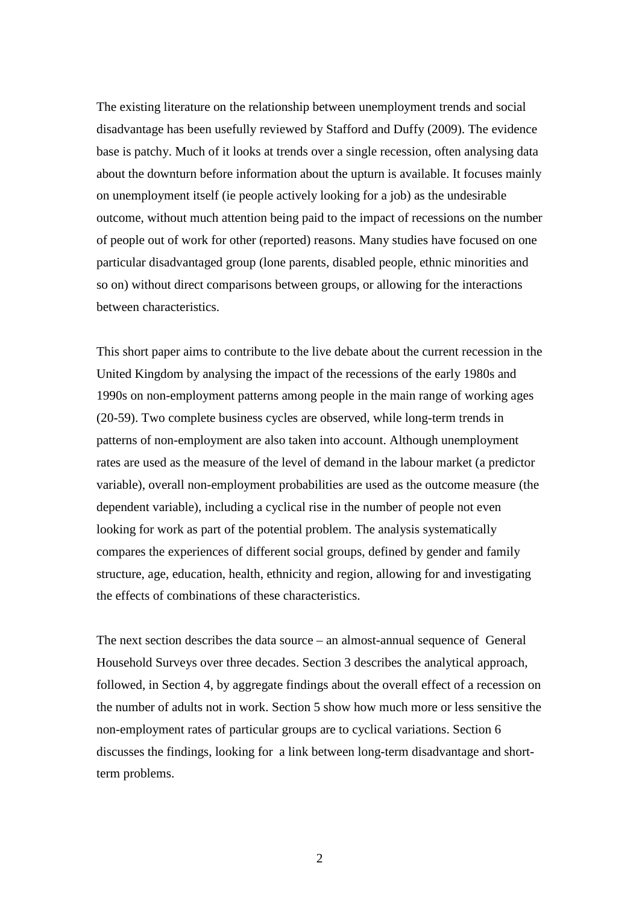The existing literature on the relationship between unemployment trends and social disadvantage has been usefully reviewed by Stafford and Duffy (2009). The evidence base is patchy. Much of it looks at trends over a single recession, often analysing data about the downturn before information about the upturn is available. It focuses mainly on unemployment itself (ie people actively looking for a job) as the undesirable outcome, without much attention being paid to the impact of recessions on the number of people out of work for other (reported) reasons. Many studies have focused on one particular disadvantaged group (lone parents, disabled people, ethnic minorities and so on) without direct comparisons between groups, or allowing for the interactions between characteristics.

This short paper aims to contribute to the live debate about the current recession in the United Kingdom by analysing the impact of the recessions of the early 1980s and 1990s on non-employment patterns among people in the main range of working ages (20-59). Two complete business cycles are observed, while long-term trends in patterns of non-employment are also taken into account. Although unemployment rates are used as the measure of the level of demand in the labour market (a predictor variable), overall non-employment probabilities are used as the outcome measure (the dependent variable), including a cyclical rise in the number of people not even looking for work as part of the potential problem. The analysis systematically compares the experiences of different social groups, defined by gender and family structure, age, education, health, ethnicity and region, allowing for and investigating the effects of combinations of these characteristics.

The next section describes the data source – an almost-annual sequence of General Household Surveys over three decades. Section 3 describes the analytical approach, followed, in Section 4, by aggregate findings about the overall effect of a recession on the number of adults not in work. Section 5 show how much more or less sensitive the non-employment rates of particular groups are to cyclical variations. Section 6 discusses the findings, looking for a link between long-term disadvantage and shortterm problems.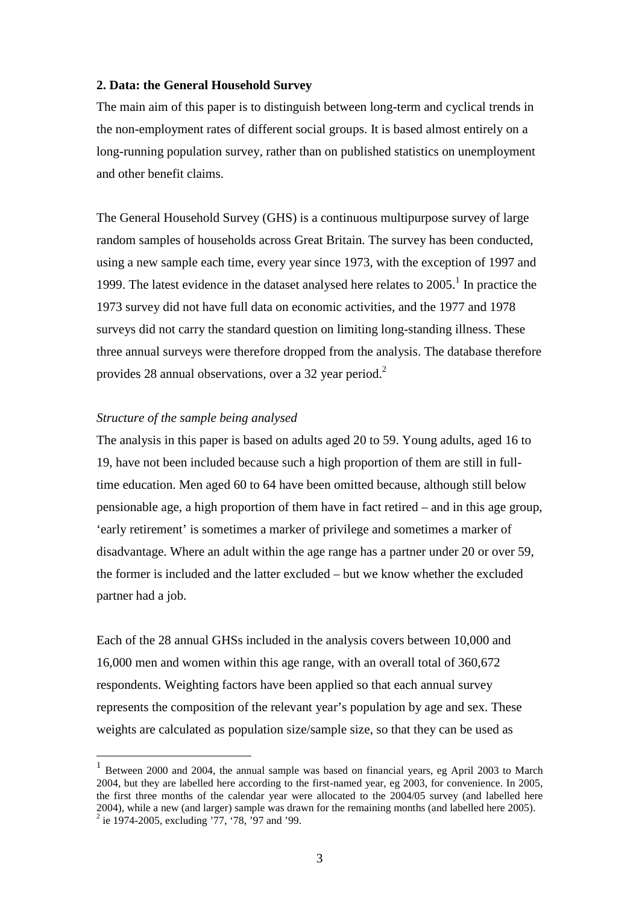#### **2. Data: the General Household Survey**

The main aim of this paper is to distinguish between long-term and cyclical trends in the non-employment rates of different social groups. It is based almost entirely on a long-running population survey, rather than on published statistics on unemployment and other benefit claims.

The General Household Survey (GHS) is a continuous multipurpose survey of large random samples of households across Great Britain. The survey has been conducted, using a new sample each time, every year since 1973, with the exception of 1997 and 1999. The latest evidence in the dataset analysed here relates to  $2005$ .<sup>1</sup> In practice the 1973 survey did not have full data on economic activities, and the 1977 and 1978 surveys did not carry the standard question on limiting long-standing illness. These three annual surveys were therefore dropped from the analysis. The database therefore provides 28 annual observations, over a 32 year period.<sup>2</sup>

#### *Structure of the sample being analysed*

The analysis in this paper is based on adults aged 20 to 59. Young adults, aged 16 to 19, have not been included because such a high proportion of them are still in fulltime education. Men aged 60 to 64 have been omitted because, although still below pensionable age, a high proportion of them have in fact retired – and in this age group, 'early retirement' is sometimes a marker of privilege and sometimes a marker of disadvantage. Where an adult within the age range has a partner under 20 or over 59, the former is included and the latter excluded – but we know whether the excluded partner had a job.

Each of the 28 annual GHSs included in the analysis covers between 10,000 and 16,000 men and women within this age range, with an overall total of 360,672 respondents. Weighting factors have been applied so that each annual survey represents the composition of the relevant year's population by age and sex. These weights are calculated as population size/sample size, so that they can be used as

 $\overline{a}$ 

<sup>&</sup>lt;sup>1</sup> Between 2000 and 2004, the annual sample was based on financial years, eg April 2003 to March 2004, but they are labelled here according to the first-named year, eg 2003, for convenience. In 2005, the first three months of the calendar year were allocated to the 2004/05 survey (and labelled here 2004), while a new (and larger) sample was drawn for the remaining months (and labelled here 2005).

 $2$  ie 1974-2005, excluding '77, '78, '97 and '99.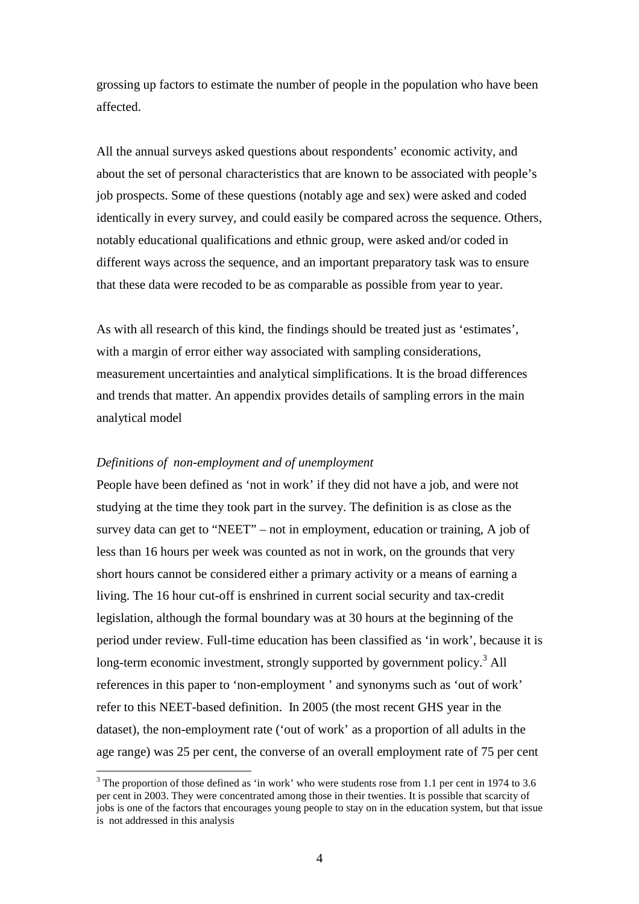grossing up factors to estimate the number of people in the population who have been affected.

All the annual surveys asked questions about respondents' economic activity, and about the set of personal characteristics that are known to be associated with people's job prospects. Some of these questions (notably age and sex) were asked and coded identically in every survey, and could easily be compared across the sequence. Others, notably educational qualifications and ethnic group, were asked and/or coded in different ways across the sequence, and an important preparatory task was to ensure that these data were recoded to be as comparable as possible from year to year.

As with all research of this kind, the findings should be treated just as 'estimates', with a margin of error either way associated with sampling considerations, measurement uncertainties and analytical simplifications. It is the broad differences and trends that matter. An appendix provides details of sampling errors in the main analytical model

#### *Definitions of non-employment and of unemployment*

 $\overline{a}$ 

People have been defined as 'not in work' if they did not have a job, and were not studying at the time they took part in the survey. The definition is as close as the survey data can get to "NEET" – not in employment, education or training, A job of less than 16 hours per week was counted as not in work, on the grounds that very short hours cannot be considered either a primary activity or a means of earning a living. The 16 hour cut-off is enshrined in current social security and tax-credit legislation, although the formal boundary was at 30 hours at the beginning of the period under review. Full-time education has been classified as 'in work', because it is long-term economic investment, strongly supported by government policy.<sup>3</sup> All references in this paper to 'non-employment ' and synonyms such as 'out of work' refer to this NEET-based definition. In 2005 (the most recent GHS year in the dataset), the non-employment rate ('out of work' as a proportion of all adults in the age range) was 25 per cent, the converse of an overall employment rate of 75 per cent

 $3$  The proportion of those defined as 'in work' who were students rose from 1.1 per cent in 1974 to 3.6 per cent in 2003. They were concentrated among those in their twenties. It is possible that scarcity of jobs is one of the factors that encourages young people to stay on in the education system, but that issue is not addressed in this analysis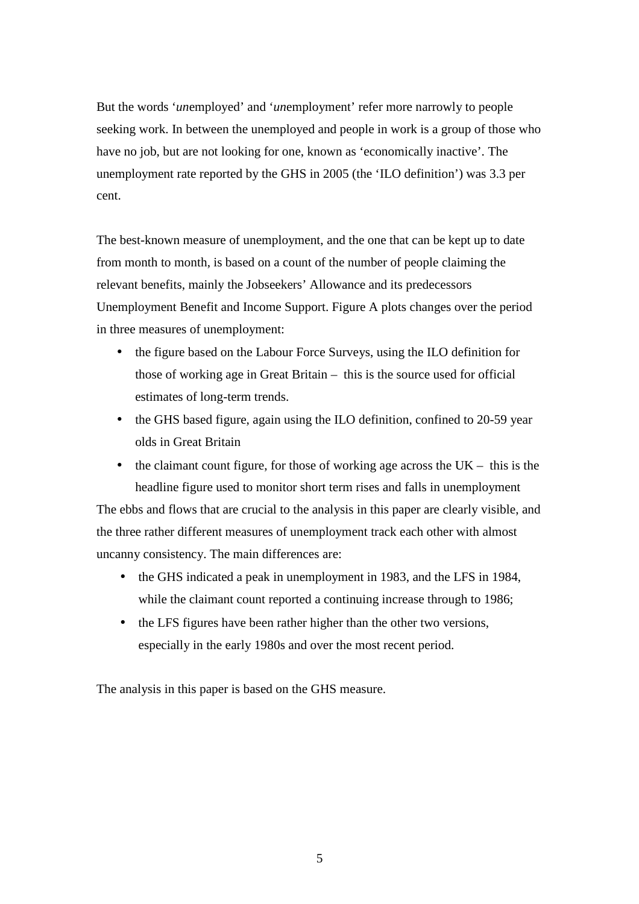But the words '*un*employed' and '*un*employment' refer more narrowly to people seeking work. In between the unemployed and people in work is a group of those who have no job, but are not looking for one, known as 'economically inactive'. The unemployment rate reported by the GHS in 2005 (the 'ILO definition') was 3.3 per cent.

The best-known measure of unemployment, and the one that can be kept up to date from month to month, is based on a count of the number of people claiming the relevant benefits, mainly the Jobseekers' Allowance and its predecessors Unemployment Benefit and Income Support. Figure A plots changes over the period in three measures of unemployment:

- the figure based on the Labour Force Surveys, using the ILO definition for those of working age in Great Britain – this is the source used for official estimates of long-term trends.
- the GHS based figure, again using the ILO definition, confined to 20-59 year olds in Great Britain
- the claimant count figure, for those of working age across the  $UK this$  is the headline figure used to monitor short term rises and falls in unemployment

The ebbs and flows that are crucial to the analysis in this paper are clearly visible, and the three rather different measures of unemployment track each other with almost uncanny consistency. The main differences are:

- the GHS indicated a peak in unemployment in 1983, and the LFS in 1984, while the claimant count reported a continuing increase through to 1986;
- the LFS figures have been rather higher than the other two versions, especially in the early 1980s and over the most recent period.

The analysis in this paper is based on the GHS measure.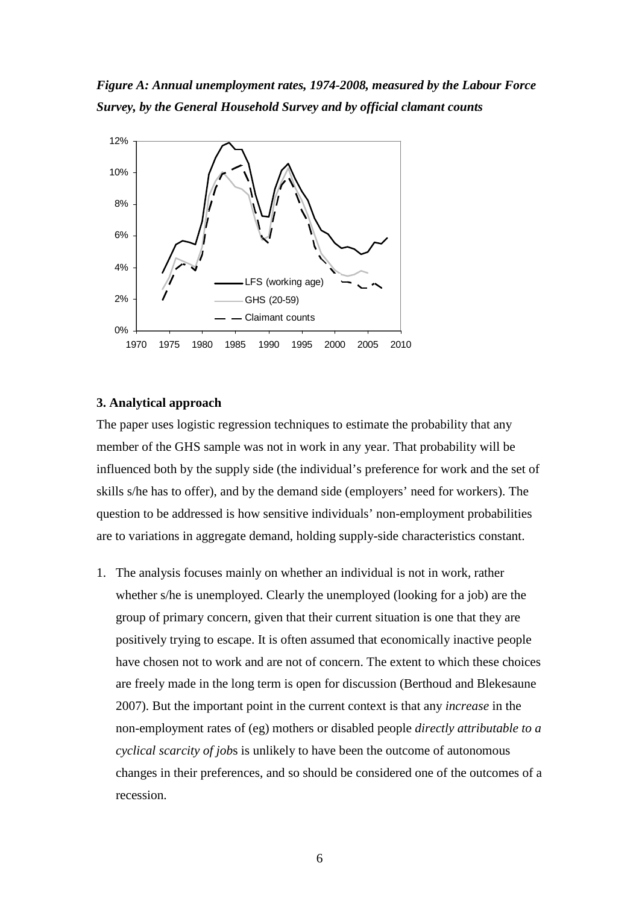*Figure A: Annual unemployment rates, 1974-2008, measured by the Labour Force Survey, by the General Household Survey and by official clamant counts* 



#### **3. Analytical approach**

The paper uses logistic regression techniques to estimate the probability that any member of the GHS sample was not in work in any year. That probability will be influenced both by the supply side (the individual's preference for work and the set of skills s/he has to offer), and by the demand side (employers' need for workers). The question to be addressed is how sensitive individuals' non-employment probabilities are to variations in aggregate demand, holding supply-side characteristics constant.

1. The analysis focuses mainly on whether an individual is not in work, rather whether s/he is unemployed. Clearly the unemployed (looking for a job) are the group of primary concern, given that their current situation is one that they are positively trying to escape. It is often assumed that economically inactive people have chosen not to work and are not of concern. The extent to which these choices are freely made in the long term is open for discussion (Berthoud and Blekesaune 2007). But the important point in the current context is that any *increase* in the non-employment rates of (eg) mothers or disabled people *directly attributable to a cyclical scarcity of job*s is unlikely to have been the outcome of autonomous changes in their preferences, and so should be considered one of the outcomes of a recession.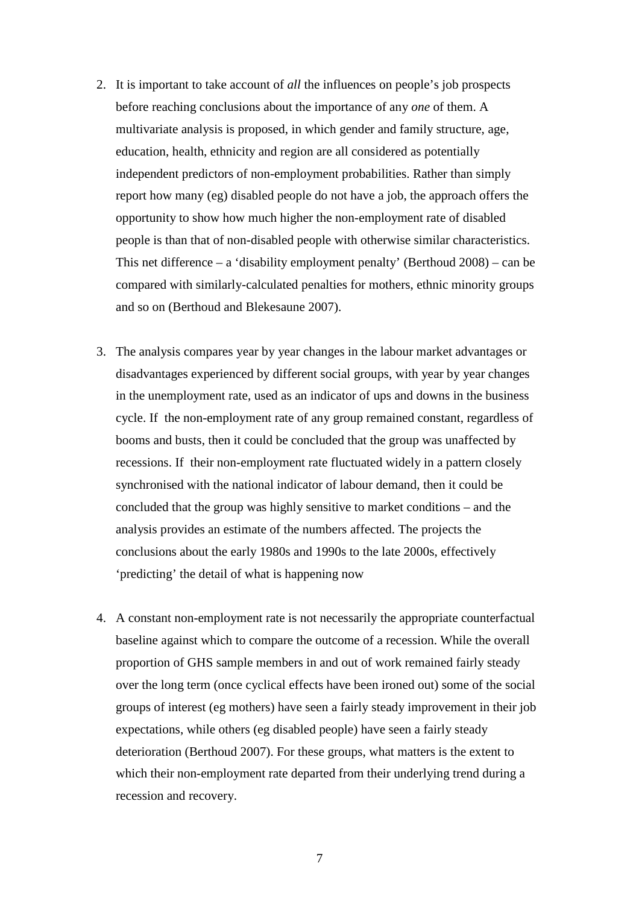- 2. It is important to take account of *all* the influences on people's job prospects before reaching conclusions about the importance of any *one* of them. A multivariate analysis is proposed, in which gender and family structure, age, education, health, ethnicity and region are all considered as potentially independent predictors of non-employment probabilities. Rather than simply report how many (eg) disabled people do not have a job, the approach offers the opportunity to show how much higher the non-employment rate of disabled people is than that of non-disabled people with otherwise similar characteristics. This net difference – a 'disability employment penalty' (Berthoud  $2008$ ) – can be compared with similarly-calculated penalties for mothers, ethnic minority groups and so on (Berthoud and Blekesaune 2007).
- 3. The analysis compares year by year changes in the labour market advantages or disadvantages experienced by different social groups, with year by year changes in the unemployment rate, used as an indicator of ups and downs in the business cycle. If the non-employment rate of any group remained constant, regardless of booms and busts, then it could be concluded that the group was unaffected by recessions. If their non-employment rate fluctuated widely in a pattern closely synchronised with the national indicator of labour demand, then it could be concluded that the group was highly sensitive to market conditions – and the analysis provides an estimate of the numbers affected. The projects the conclusions about the early 1980s and 1990s to the late 2000s, effectively 'predicting' the detail of what is happening now
- 4. A constant non-employment rate is not necessarily the appropriate counterfactual baseline against which to compare the outcome of a recession. While the overall proportion of GHS sample members in and out of work remained fairly steady over the long term (once cyclical effects have been ironed out) some of the social groups of interest (eg mothers) have seen a fairly steady improvement in their job expectations, while others (eg disabled people) have seen a fairly steady deterioration (Berthoud 2007). For these groups, what matters is the extent to which their non-employment rate departed from their underlying trend during a recession and recovery.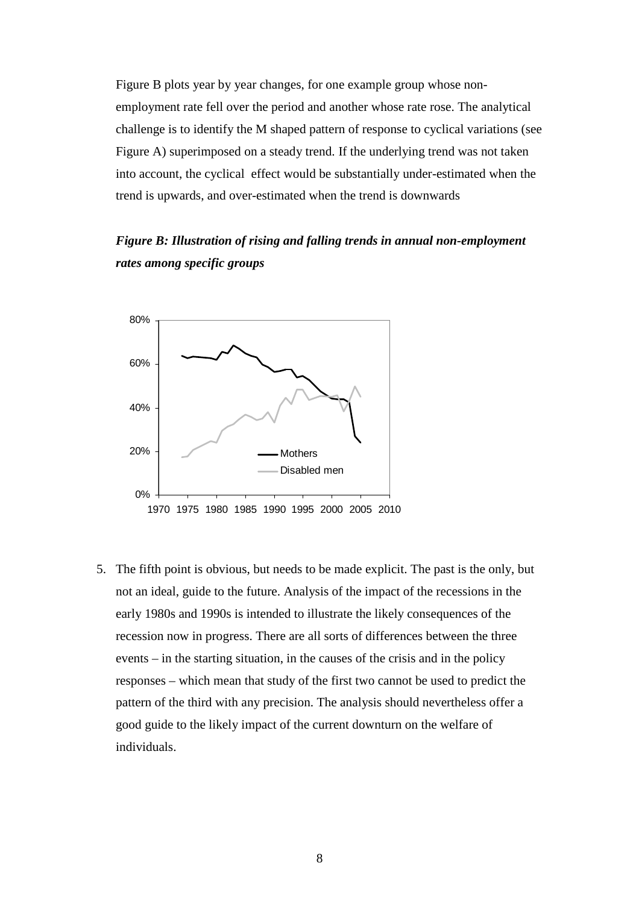Figure B plots year by year changes, for one example group whose nonemployment rate fell over the period and another whose rate rose. The analytical challenge is to identify the M shaped pattern of response to cyclical variations (see Figure A) superimposed on a steady trend. If the underlying trend was not taken into account, the cyclical effect would be substantially under-estimated when the trend is upwards, and over-estimated when the trend is downwards

*Figure B: Illustration of rising and falling trends in annual non-employment rates among specific groups* 



5. The fifth point is obvious, but needs to be made explicit. The past is the only, but not an ideal, guide to the future. Analysis of the impact of the recessions in the early 1980s and 1990s is intended to illustrate the likely consequences of the recession now in progress. There are all sorts of differences between the three events – in the starting situation, in the causes of the crisis and in the policy responses – which mean that study of the first two cannot be used to predict the pattern of the third with any precision. The analysis should nevertheless offer a good guide to the likely impact of the current downturn on the welfare of individuals.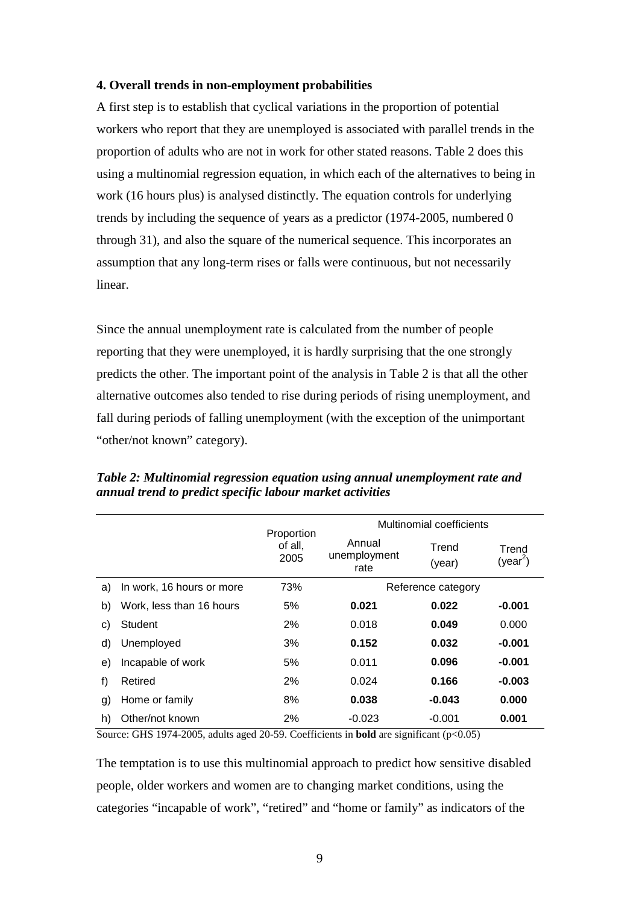#### **4. Overall trends in non-employment probabilities**

A first step is to establish that cyclical variations in the proportion of potential workers who report that they are unemployed is associated with parallel trends in the proportion of adults who are not in work for other stated reasons. Table 2 does this using a multinomial regression equation, in which each of the alternatives to being in work (16 hours plus) is analysed distinctly. The equation controls for underlying trends by including the sequence of years as a predictor (1974-2005, numbered 0 through 31), and also the square of the numerical sequence. This incorporates an assumption that any long-term rises or falls were continuous, but not necessarily linear.

Since the annual unemployment rate is calculated from the number of people reporting that they were unemployed, it is hardly surprising that the one strongly predicts the other. The important point of the analysis in Table 2 is that all the other alternative outcomes also tended to rise during periods of rising unemployment, and fall during periods of falling unemployment (with the exception of the unimportant "other/not known" category).

|    |                           |                               | Multinomial coefficients       |                 |                               |  |  |
|----|---------------------------|-------------------------------|--------------------------------|-----------------|-------------------------------|--|--|
|    |                           | Proportion<br>of all,<br>2005 | Annual<br>unemployment<br>rate | Trend<br>(year) | Trend<br>(year <sup>2</sup> ) |  |  |
| a) | In work, 16 hours or more | 73%                           | Reference category             |                 |                               |  |  |
| b) | Work, less than 16 hours  | 5%                            | 0.021                          | 0.022           | $-0.001$                      |  |  |
| C) | Student                   | 2%                            | 0.018                          | 0.049           | 0.000                         |  |  |
| d) | Unemployed                | 3%                            | 0.152                          | 0.032           | $-0.001$                      |  |  |
| e) | Incapable of work         | 5%                            | 0.011                          | 0.096           | $-0.001$                      |  |  |
| f) | Retired                   | 2%                            | 0.024                          | 0.166           | $-0.003$                      |  |  |
| g) | Home or family            | 8%                            | 0.038                          | $-0.043$        | 0.000                         |  |  |
| h) | Other/not known           | 2%                            | $-0.023$                       | $-0.001$        | 0.001                         |  |  |

*Table 2: Multinomial regression equation using annual unemployment rate and annual trend to predict specific labour market activities* 

Source: GHS 1974-2005, adults aged 20-59. Coefficients in **bold** are significant (p<0.05)

The temptation is to use this multinomial approach to predict how sensitive disabled people, older workers and women are to changing market conditions, using the categories "incapable of work", "retired" and "home or family" as indicators of the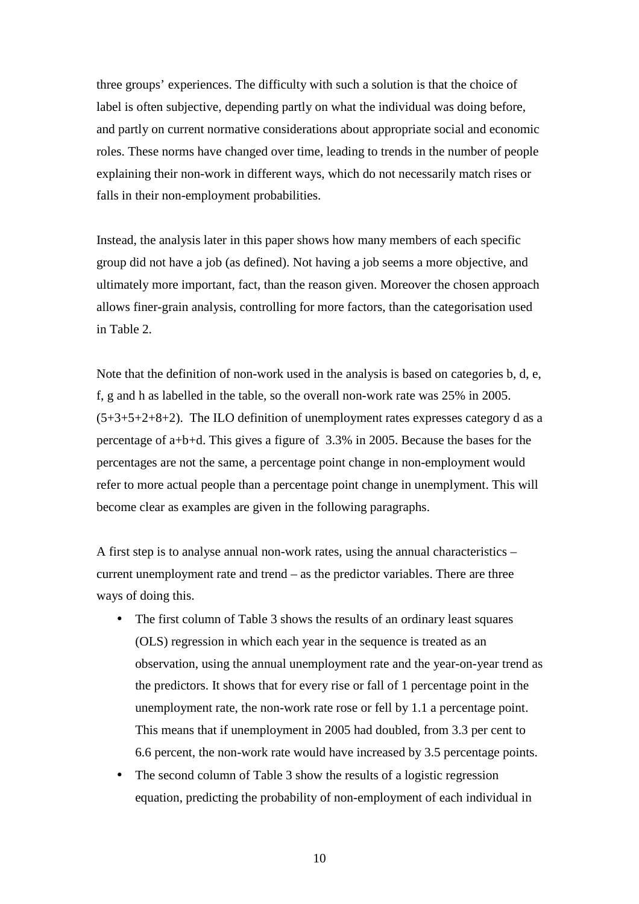three groups' experiences. The difficulty with such a solution is that the choice of label is often subjective, depending partly on what the individual was doing before, and partly on current normative considerations about appropriate social and economic roles. These norms have changed over time, leading to trends in the number of people explaining their non-work in different ways, which do not necessarily match rises or falls in their non-employment probabilities.

Instead, the analysis later in this paper shows how many members of each specific group did not have a job (as defined). Not having a job seems a more objective, and ultimately more important, fact, than the reason given. Moreover the chosen approach allows finer-grain analysis, controlling for more factors, than the categorisation used in Table 2.

Note that the definition of non-work used in the analysis is based on categories b, d, e, f, g and h as labelled in the table, so the overall non-work rate was 25% in 2005.  $(5+3+5+2+8+2)$ . The ILO definition of unemployment rates expresses category d as a percentage of a+b+d. This gives a figure of 3.3% in 2005. Because the bases for the percentages are not the same, a percentage point change in non-employment would refer to more actual people than a percentage point change in unemplyment. This will become clear as examples are given in the following paragraphs.

A first step is to analyse annual non-work rates, using the annual characteristics – current unemployment rate and trend – as the predictor variables. There are three ways of doing this.

- The first column of Table 3 shows the results of an ordinary least squares (OLS) regression in which each year in the sequence is treated as an observation, using the annual unemployment rate and the year-on-year trend as the predictors. It shows that for every rise or fall of 1 percentage point in the unemployment rate, the non-work rate rose or fell by 1.1 a percentage point. This means that if unemployment in 2005 had doubled, from 3.3 per cent to 6.6 percent, the non-work rate would have increased by 3.5 percentage points.
- The second column of Table 3 show the results of a logistic regression equation, predicting the probability of non-employment of each individual in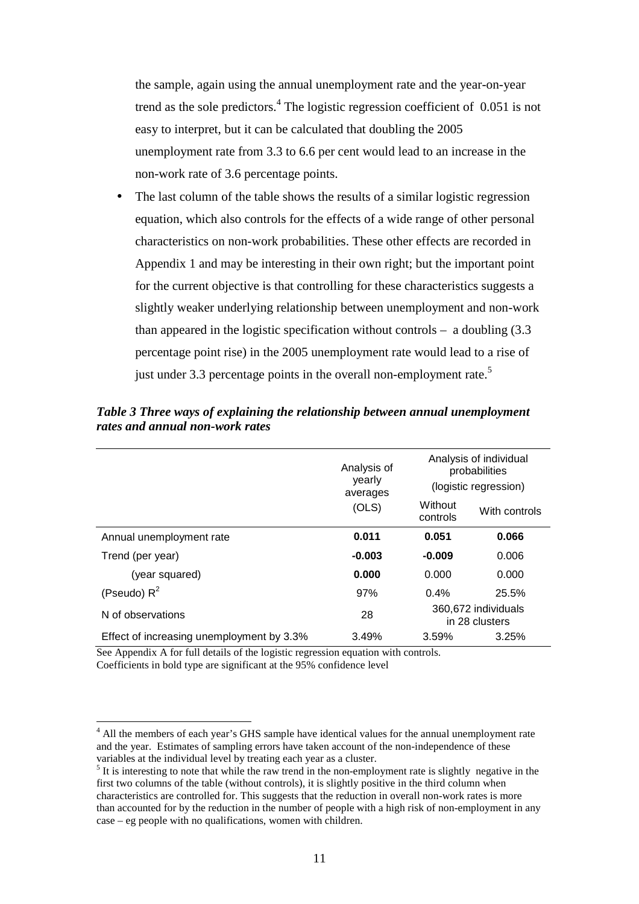the sample, again using the annual unemployment rate and the year-on-year trend as the sole predictors.<sup>4</sup> The logistic regression coefficient of 0.051 is not easy to interpret, but it can be calculated that doubling the 2005 unemployment rate from 3.3 to 6.6 per cent would lead to an increase in the non-work rate of 3.6 percentage points.

The last column of the table shows the results of a similar logistic regression equation, which also controls for the effects of a wide range of other personal characteristics on non-work probabilities. These other effects are recorded in Appendix 1 and may be interesting in their own right; but the important point for the current objective is that controlling for these characteristics suggests a slightly weaker underlying relationship between unemployment and non-work than appeared in the logistic specification without controls  $-$  a doubling  $(3.3)$ percentage point rise) in the 2005 unemployment rate would lead to a rise of just under 3.3 percentage points in the overall non-employment rate.<sup>5</sup>

|                                           | Analysis of<br>yearly<br>averages | Analysis of individual<br>probabilities<br>(logistic regression) |               |  |
|-------------------------------------------|-----------------------------------|------------------------------------------------------------------|---------------|--|
|                                           | (OLS)                             | Without<br>controls                                              | With controls |  |
| Annual unemployment rate                  | 0.011                             | 0.051                                                            | 0.066         |  |
| Trend (per year)                          | $-0.003$                          | $-0.009$                                                         | 0.006         |  |
| (year squared)                            | 0.000                             | 0.000                                                            | 0.000         |  |
| (Pseudo) $R^2$                            | 97%                               | 0.4%                                                             | 25.5%         |  |
| N of observations                         | 28                                | 360,672 individuals<br>in 28 clusters                            |               |  |
| Effect of increasing unemployment by 3.3% | 3.49%                             | 3.59%                                                            | 3.25%         |  |

*Table 3 Three ways of explaining the relationship between annual unemployment rates and annual non-work rates* 

See Appendix A for full details of the logistic regression equation with controls. Coefficients in bold type are significant at the 95% confidence level

 $\overline{a}$ 

<sup>&</sup>lt;sup>4</sup> All the members of each year's GHS sample have identical values for the annual unemployment rate and the year. Estimates of sampling errors have taken account of the non-independence of these variables at the individual level by treating each year as a cluster.

<sup>&</sup>lt;sup>5</sup> It is interesting to note that while the raw trend in the non-employment rate is slightly negative in the first two columns of the table (without controls), it is slightly positive in the third column when characteristics are controlled for. This suggests that the reduction in overall non-work rates is more than accounted for by the reduction in the number of people with a high risk of non-employment in any case – eg people with no qualifications, women with children.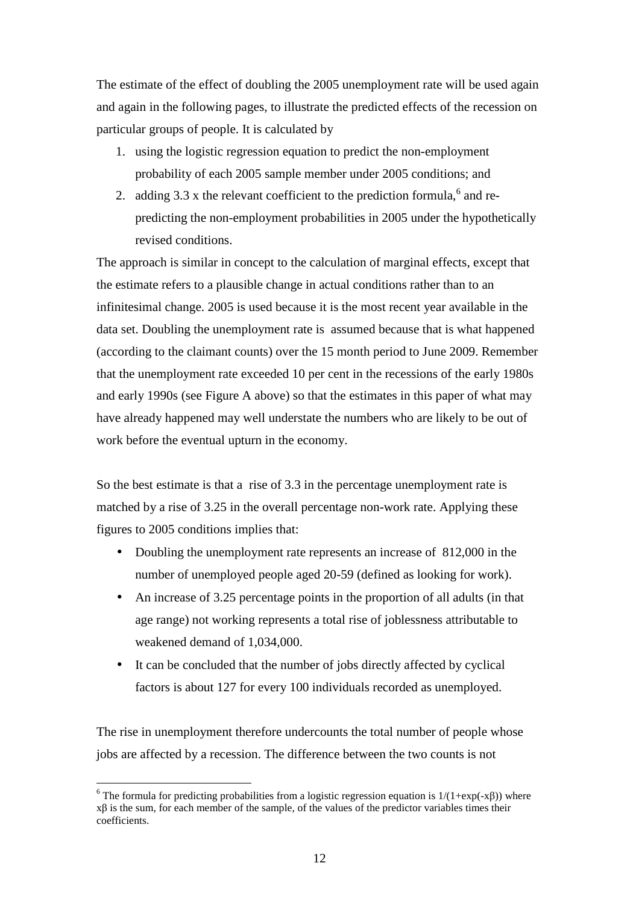The estimate of the effect of doubling the 2005 unemployment rate will be used again and again in the following pages, to illustrate the predicted effects of the recession on particular groups of people. It is calculated by

- 1. using the logistic regression equation to predict the non-employment probability of each 2005 sample member under 2005 conditions; and
- 2. adding  $3.3$  x the relevant coefficient to the prediction formula,<sup>6</sup> and repredicting the non-employment probabilities in 2005 under the hypothetically revised conditions.

The approach is similar in concept to the calculation of marginal effects, except that the estimate refers to a plausible change in actual conditions rather than to an infinitesimal change. 2005 is used because it is the most recent year available in the data set. Doubling the unemployment rate is assumed because that is what happened (according to the claimant counts) over the 15 month period to June 2009. Remember that the unemployment rate exceeded 10 per cent in the recessions of the early 1980s and early 1990s (see Figure A above) so that the estimates in this paper of what may have already happened may well understate the numbers who are likely to be out of work before the eventual upturn in the economy.

So the best estimate is that a rise of 3.3 in the percentage unemployment rate is matched by a rise of 3.25 in the overall percentage non-work rate. Applying these figures to 2005 conditions implies that:

- Doubling the unemployment rate represents an increase of 812,000 in the number of unemployed people aged 20-59 (defined as looking for work).
- An increase of 3.25 percentage points in the proportion of all adults (in that age range) not working represents a total rise of joblessness attributable to weakened demand of 1,034,000.
- It can be concluded that the number of jobs directly affected by cyclical factors is about 127 for every 100 individuals recorded as unemployed.

The rise in unemployment therefore undercounts the total number of people whose jobs are affected by a recession. The difference between the two counts is not

 $\overline{a}$ 

<sup>&</sup>lt;sup>6</sup> The formula for predicting probabilities from a logistic regression equation is  $1/(1+\exp(-x\beta))$  where xβ is the sum, for each member of the sample, of the values of the predictor variables times their coefficients.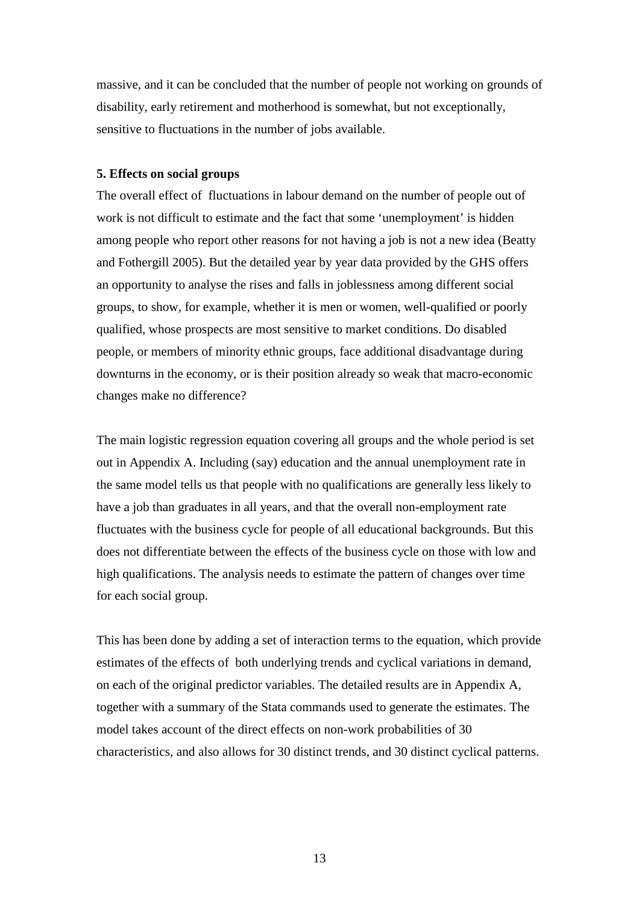massive, and it can be concluded that the number of people not working on grounds of disability, early retirement and motherhood is somewhat, but not exceptionally, sensitive to fluctuations in the number of jobs available.

#### **5. Effects on social groups**

The overall effect of fluctuations in labour demand on the number of people out of work is not difficult to estimate and the fact that some 'unemployment' is hidden among people who report other reasons for not having a job is not a new idea (Beatty and Fothergill 2005). But the detailed year by year data provided by the GHS offers an opportunity to analyse the rises and falls in joblessness among different social groups, to show, for example, whether it is men or women, well-qualified or poorly qualified, whose prospects are most sensitive to market conditions. Do disabled people, or members of minority ethnic groups, face additional disadvantage during downturns in the economy, or is their position already so weak that macro-economic changes make no difference?

The main logistic regression equation covering all groups and the whole period is set out in Appendix A. Including (say) education and the annual unemployment rate in the same model tells us that people with no qualifications are generally less likely to have a job than graduates in all years, and that the overall non-employment rate fluctuates with the business cycle for people of all educational backgrounds. But this does not differentiate between the effects of the business cycle on those with low and high qualifications. The analysis needs to estimate the pattern of changes over time for each social group.

This has been done by adding a set of interaction terms to the equation, which provide estimates of the effects of both underlying trends and cyclical variations in demand, on each of the original predictor variables. The detailed results are in Appendix A, together with a summary of the Stata commands used to generate the estimates. The model takes account of the direct effects on non-work probabilities of 30 characteristics, and also allows for 30 distinct trends, and 30 distinct cyclical patterns.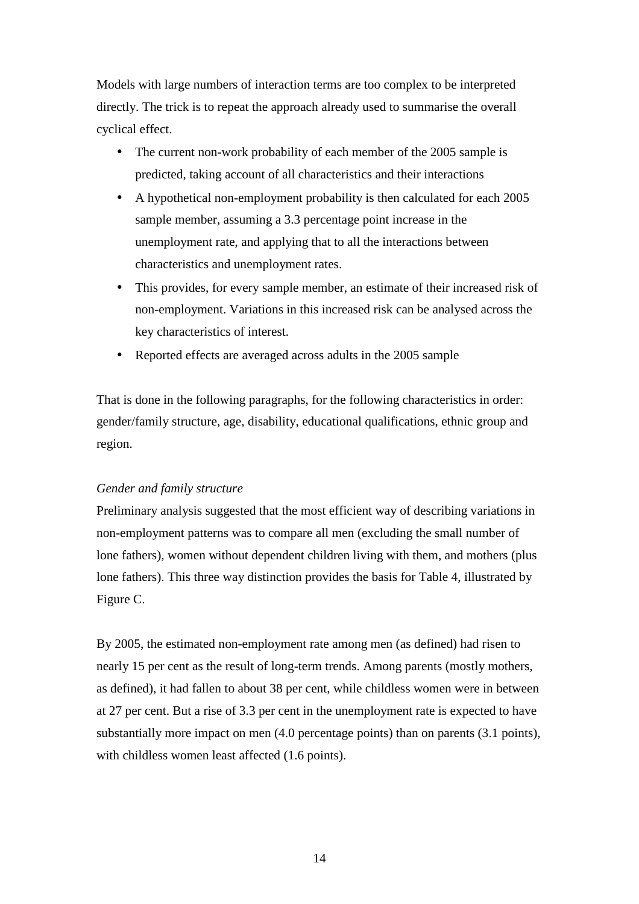Models with large numbers of interaction terms are too complex to be interpreted directly. The trick is to repeat the approach already used to summarise the overall cyclical effect.

- The current non-work probability of each member of the 2005 sample is predicted, taking account of all characteristics and their interactions
- A hypothetical non-employment probability is then calculated for each 2005 sample member, assuming a 3.3 percentage point increase in the unemployment rate, and applying that to all the interactions between characteristics and unemployment rates.
- This provides, for every sample member, an estimate of their increased risk of non-employment. Variations in this increased risk can be analysed across the key characteristics of interest.
- Reported effects are averaged across adults in the 2005 sample

That is done in the following paragraphs, for the following characteristics in order: gender/family structure, age, disability, educational qualifications, ethnic group and region.

#### *Gender and family structure*

Preliminary analysis suggested that the most efficient way of describing variations in non-employment patterns was to compare all men (excluding the small number of lone fathers), women without dependent children living with them, and mothers (plus lone fathers). This three way distinction provides the basis for Table 4, illustrated by Figure C.

By 2005, the estimated non-employment rate among men (as defined) had risen to nearly 15 per cent as the result of long-term trends. Among parents (mostly mothers, as defined), it had fallen to about 38 per cent, while childless women were in between at 27 per cent. But a rise of 3.3 per cent in the unemployment rate is expected to have substantially more impact on men (4.0 percentage points) than on parents (3.1 points), with childless women least affected  $(1.6 \text{ points})$ .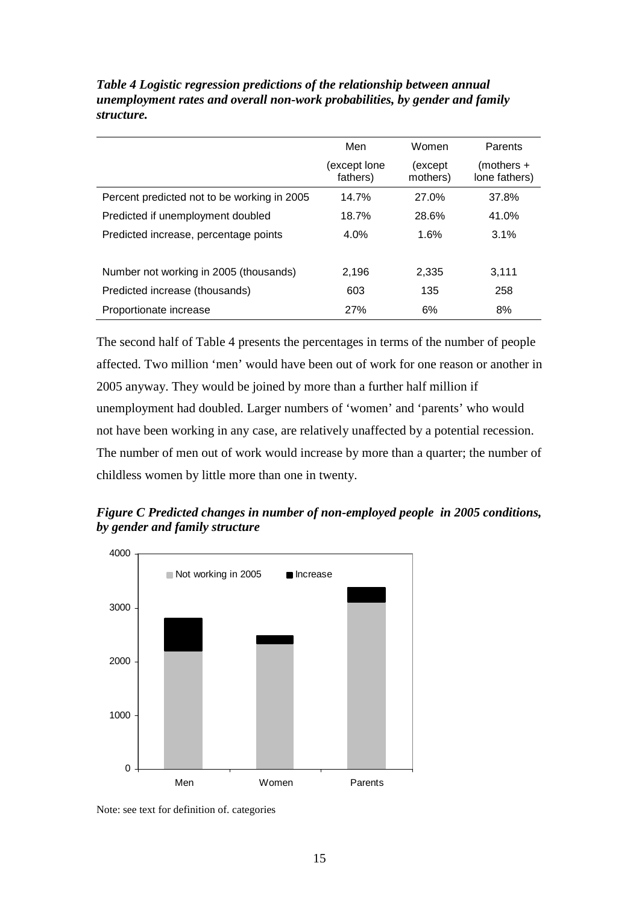|                                             | Men                      | Women               | Parents                     |  |
|---------------------------------------------|--------------------------|---------------------|-----------------------------|--|
|                                             | (except lone<br>fathers) | (except<br>mothers) | (mothers +<br>lone fathers) |  |
| Percent predicted not to be working in 2005 | 14.7%                    | 27.0%               | 37.8%                       |  |
| Predicted if unemployment doubled           | 18.7%                    | 28.6%               | 41.0%                       |  |
| Predicted increase, percentage points       | 4.0%                     | 1.6%                | 3.1%                        |  |
|                                             |                          |                     |                             |  |
| Number not working in 2005 (thousands)      | 2,196                    | 2,335               | 3,111                       |  |
| Predicted increase (thousands)              | 603                      | 135                 | 258                         |  |
| Proportionate increase                      | 27%                      | 6%                  | 8%                          |  |

*Table 4 Logistic regression predictions of the relationship between annual unemployment rates and overall non-work probabilities, by gender and family structure.* 

The second half of Table 4 presents the percentages in terms of the number of people affected. Two million 'men' would have been out of work for one reason or another in 2005 anyway. They would be joined by more than a further half million if unemployment had doubled. Larger numbers of 'women' and 'parents' who would not have been working in any case, are relatively unaffected by a potential recession. The number of men out of work would increase by more than a quarter; the number of childless women by little more than one in twenty.

*Figure C Predicted changes in number of non-employed people in 2005 conditions, by gender and family structure* 



Note: see text for definition of. categories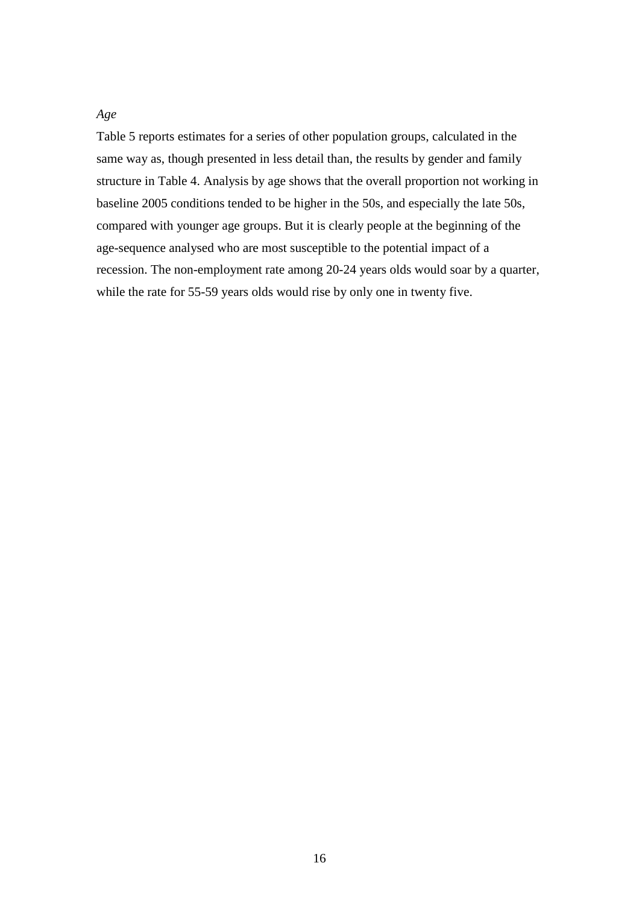#### *Age*

Table 5 reports estimates for a series of other population groups, calculated in the same way as, though presented in less detail than, the results by gender and family structure in Table 4. Analysis by age shows that the overall proportion not working in baseline 2005 conditions tended to be higher in the 50s, and especially the late 50s, compared with younger age groups. But it is clearly people at the beginning of the age-sequence analysed who are most susceptible to the potential impact of a recession. The non-employment rate among 20-24 years olds would soar by a quarter, while the rate for 55-59 years olds would rise by only one in twenty five.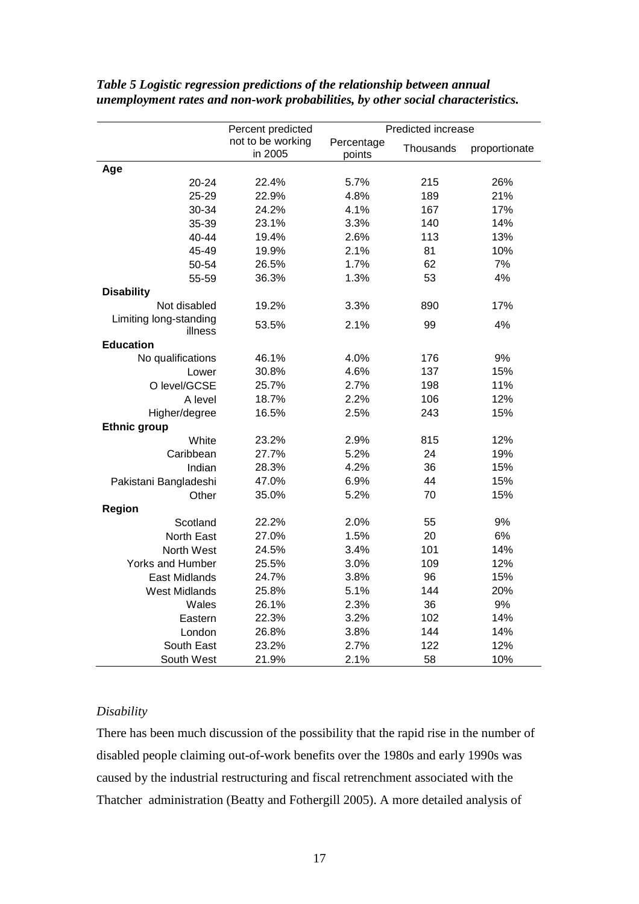|                         | Percent predicted            | Predicted increase   |           |               |  |
|-------------------------|------------------------------|----------------------|-----------|---------------|--|
|                         | not to be working<br>in 2005 | Percentage<br>points | Thousands | proportionate |  |
| Age                     |                              |                      |           |               |  |
| 20-24                   | 22.4%                        | 5.7%                 | 215       | 26%           |  |
| 25-29                   | 22.9%                        | 4.8%                 | 189       | 21%           |  |
| 30-34                   | 24.2%                        | 4.1%                 | 167       | 17%           |  |
| 35-39                   | 23.1%                        | 3.3%                 | 140       | 14%           |  |
| 40-44                   | 19.4%                        | 2.6%                 | 113       | 13%           |  |
| 45-49                   | 19.9%                        | 2.1%                 | 81        | 10%           |  |
| 50-54                   | 26.5%                        | 1.7%                 | 62        | 7%            |  |
| 55-59                   | 36.3%                        | 1.3%                 | 53        | 4%            |  |
| <b>Disability</b>       |                              |                      |           |               |  |
| Not disabled            | 19.2%                        | 3.3%                 | 890       | 17%           |  |
| Limiting long-standing  | 53.5%                        | 2.1%                 | 99        | 4%            |  |
| illness                 |                              |                      |           |               |  |
| <b>Education</b>        |                              |                      |           |               |  |
| No qualifications       | 46.1%                        | 4.0%                 | 176       | 9%            |  |
| Lower                   | 30.8%                        | 4.6%                 | 137       | 15%           |  |
| O level/GCSE            | 25.7%                        | 2.7%                 | 198       | 11%           |  |
| A level                 | 18.7%                        | 2.2%                 | 106       | 12%           |  |
| Higher/degree           | 16.5%                        | 2.5%                 | 243       | 15%           |  |
| <b>Ethnic group</b>     |                              |                      |           |               |  |
| White                   | 23.2%                        | 2.9%                 | 815       | 12%           |  |
| Caribbean               | 27.7%                        | 5.2%                 | 24        | 19%           |  |
| Indian                  | 28.3%                        | 4.2%                 | 36        | 15%           |  |
| Pakistani Bangladeshi   | 47.0%                        | 6.9%                 | 44        | 15%           |  |
| Other                   | 35.0%                        | 5.2%                 | 70        | 15%           |  |
| <b>Region</b>           |                              |                      |           |               |  |
| Scotland                | 22.2%                        | 2.0%                 | 55        | 9%            |  |
| North East              | 27.0%                        | 1.5%                 | 20        | 6%            |  |
| North West              | 24.5%                        | 3.4%                 | 101       | 14%           |  |
| <b>Yorks and Humber</b> | 25.5%                        | 3.0%                 | 109       | 12%           |  |
| <b>East Midlands</b>    | 24.7%                        | 3.8%                 | 96        | 15%           |  |
| <b>West Midlands</b>    | 25.8%                        | 5.1%                 | 144       | 20%           |  |
| Wales                   | 26.1%                        | 2.3%                 | 36        | 9%            |  |
| Eastern                 | 22.3%                        | 3.2%                 | 102       | 14%           |  |
| London                  | 26.8%                        | 3.8%                 | 144       | 14%           |  |
| South East              | 23.2%                        | 2.7%                 | 122       | 12%           |  |
| South West              | 21.9%                        | 2.1%                 | 58        | 10%           |  |

*Table 5 Logistic regression predictions of the relationship between annual unemployment rates and non-work probabilities, by other social characteristics.* 

#### *Disability*

There has been much discussion of the possibility that the rapid rise in the number of disabled people claiming out-of-work benefits over the 1980s and early 1990s was caused by the industrial restructuring and fiscal retrenchment associated with the Thatcher administration (Beatty and Fothergill 2005). A more detailed analysis of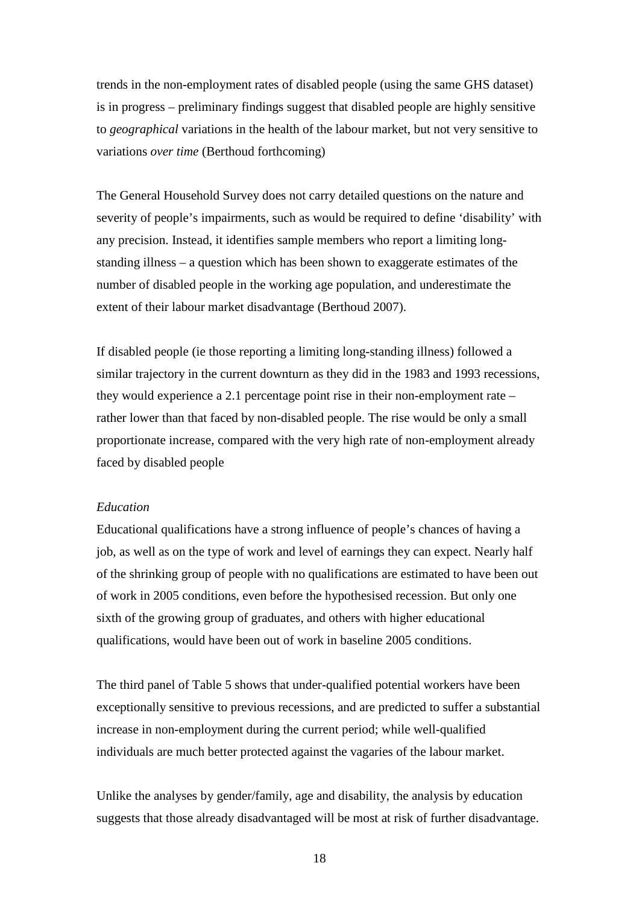trends in the non-employment rates of disabled people (using the same GHS dataset) is in progress – preliminary findings suggest that disabled people are highly sensitive to *geographical* variations in the health of the labour market, but not very sensitive to variations *over time* (Berthoud forthcoming)

The General Household Survey does not carry detailed questions on the nature and severity of people's impairments, such as would be required to define 'disability' with any precision. Instead, it identifies sample members who report a limiting longstanding illness – a question which has been shown to exaggerate estimates of the number of disabled people in the working age population, and underestimate the extent of their labour market disadvantage (Berthoud 2007).

If disabled people (ie those reporting a limiting long-standing illness) followed a similar trajectory in the current downturn as they did in the 1983 and 1993 recessions, they would experience a 2.1 percentage point rise in their non-employment rate – rather lower than that faced by non-disabled people. The rise would be only a small proportionate increase, compared with the very high rate of non-employment already faced by disabled people

#### *Education*

Educational qualifications have a strong influence of people's chances of having a job, as well as on the type of work and level of earnings they can expect. Nearly half of the shrinking group of people with no qualifications are estimated to have been out of work in 2005 conditions, even before the hypothesised recession. But only one sixth of the growing group of graduates, and others with higher educational qualifications, would have been out of work in baseline 2005 conditions.

The third panel of Table 5 shows that under-qualified potential workers have been exceptionally sensitive to previous recessions, and are predicted to suffer a substantial increase in non-employment during the current period; while well-qualified individuals are much better protected against the vagaries of the labour market.

Unlike the analyses by gender/family, age and disability, the analysis by education suggests that those already disadvantaged will be most at risk of further disadvantage.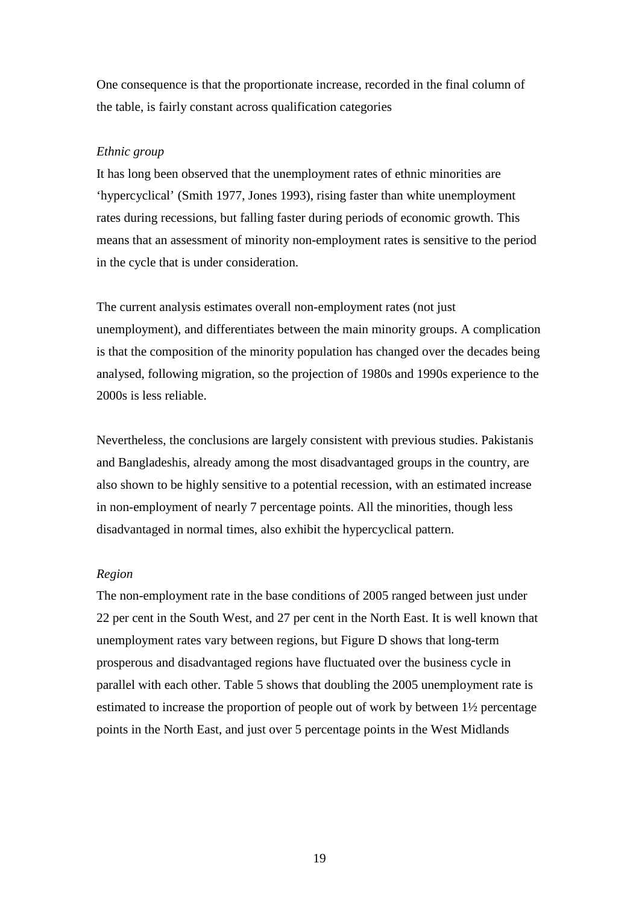One consequence is that the proportionate increase, recorded in the final column of the table, is fairly constant across qualification categories

#### *Ethnic group*

It has long been observed that the unemployment rates of ethnic minorities are 'hypercyclical' (Smith 1977, Jones 1993), rising faster than white unemployment rates during recessions, but falling faster during periods of economic growth. This means that an assessment of minority non-employment rates is sensitive to the period in the cycle that is under consideration.

The current analysis estimates overall non-employment rates (not just unemployment), and differentiates between the main minority groups. A complication is that the composition of the minority population has changed over the decades being analysed, following migration, so the projection of 1980s and 1990s experience to the 2000s is less reliable.

Nevertheless, the conclusions are largely consistent with previous studies. Pakistanis and Bangladeshis, already among the most disadvantaged groups in the country, are also shown to be highly sensitive to a potential recession, with an estimated increase in non-employment of nearly 7 percentage points. All the minorities, though less disadvantaged in normal times, also exhibit the hypercyclical pattern.

#### *Region*

The non-employment rate in the base conditions of 2005 ranged between just under 22 per cent in the South West, and 27 per cent in the North East. It is well known that unemployment rates vary between regions, but Figure D shows that long-term prosperous and disadvantaged regions have fluctuated over the business cycle in parallel with each other. Table 5 shows that doubling the 2005 unemployment rate is estimated to increase the proportion of people out of work by between 1½ percentage points in the North East, and just over 5 percentage points in the West Midlands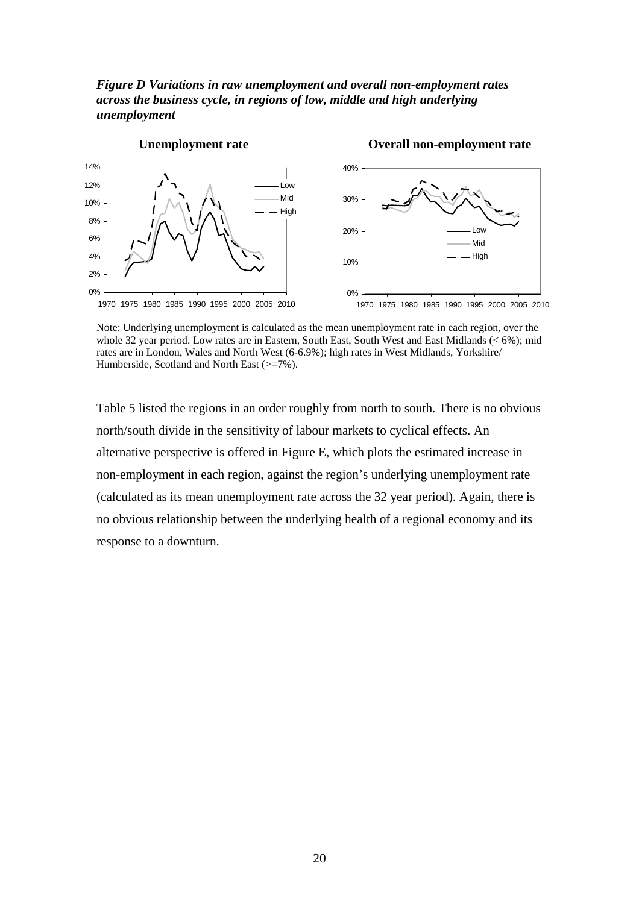*Figure D Variations in raw unemployment and overall non-employment rates across the business cycle, in regions of low, middle and high underlying unemployment* 



Note: Underlying unemployment is calculated as the mean unemployment rate in each region, over the whole 32 year period. Low rates are in Eastern, South East, South West and East Midlands (< 6%); mid rates are in London, Wales and North West (6-6.9%); high rates in West Midlands, Yorkshire/ Humberside, Scotland and North East ( $\geq$ =7%).

Table 5 listed the regions in an order roughly from north to south. There is no obvious north/south divide in the sensitivity of labour markets to cyclical effects. An alternative perspective is offered in Figure E, which plots the estimated increase in non-employment in each region, against the region's underlying unemployment rate (calculated as its mean unemployment rate across the 32 year period). Again, there is no obvious relationship between the underlying health of a regional economy and its response to a downturn.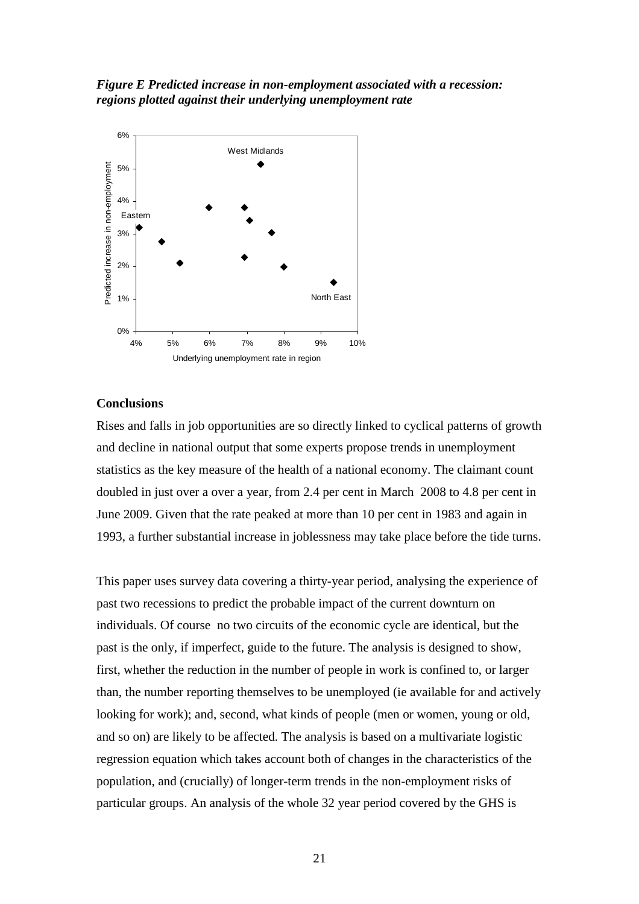*Figure E Predicted increase in non-employment associated with a recession: regions plotted against their underlying unemployment rate* 



#### **Conclusions**

Rises and falls in job opportunities are so directly linked to cyclical patterns of growth and decline in national output that some experts propose trends in unemployment statistics as the key measure of the health of a national economy. The claimant count doubled in just over a over a year, from 2.4 per cent in March 2008 to 4.8 per cent in June 2009. Given that the rate peaked at more than 10 per cent in 1983 and again in 1993, a further substantial increase in joblessness may take place before the tide turns.

This paper uses survey data covering a thirty-year period, analysing the experience of past two recessions to predict the probable impact of the current downturn on individuals. Of course no two circuits of the economic cycle are identical, but the past is the only, if imperfect, guide to the future. The analysis is designed to show, first, whether the reduction in the number of people in work is confined to, or larger than, the number reporting themselves to be unemployed (ie available for and actively looking for work); and, second, what kinds of people (men or women, young or old, and so on) are likely to be affected. The analysis is based on a multivariate logistic regression equation which takes account both of changes in the characteristics of the population, and (crucially) of longer-term trends in the non-employment risks of particular groups. An analysis of the whole 32 year period covered by the GHS is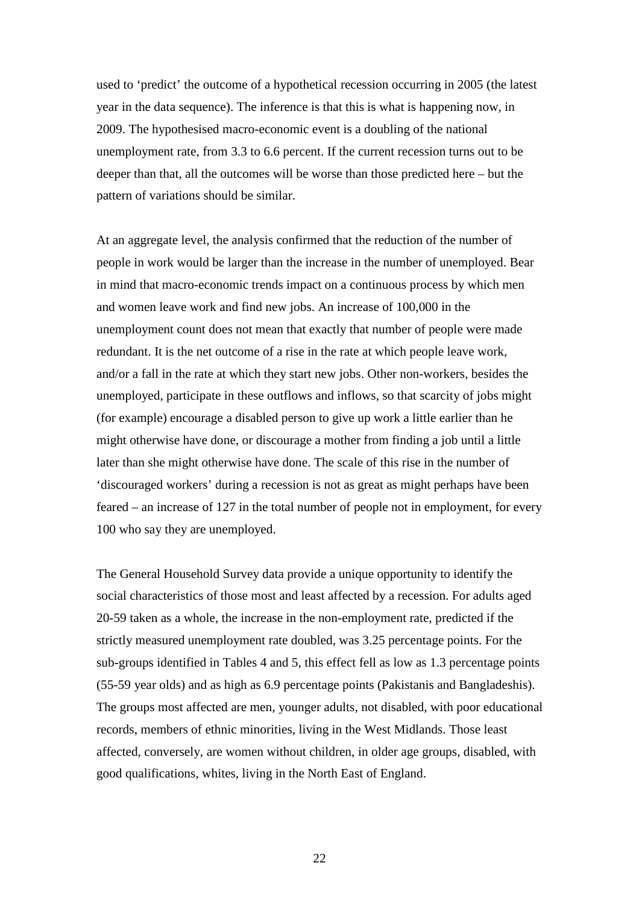used to 'predict' the outcome of a hypothetical recession occurring in 2005 (the latest year in the data sequence). The inference is that this is what is happening now, in 2009. The hypothesised macro-economic event is a doubling of the national unemployment rate, from 3.3 to 6.6 percent. If the current recession turns out to be deeper than that, all the outcomes will be worse than those predicted here – but the pattern of variations should be similar.

At an aggregate level, the analysis confirmed that the reduction of the number of people in work would be larger than the increase in the number of unemployed. Bear in mind that macro-economic trends impact on a continuous process by which men and women leave work and find new jobs. An increase of 100,000 in the unemployment count does not mean that exactly that number of people were made redundant. It is the net outcome of a rise in the rate at which people leave work, and/or a fall in the rate at which they start new jobs. Other non-workers, besides the unemployed, participate in these outflows and inflows, so that scarcity of jobs might (for example) encourage a disabled person to give up work a little earlier than he might otherwise have done, or discourage a mother from finding a job until a little later than she might otherwise have done. The scale of this rise in the number of 'discouraged workers' during a recession is not as great as might perhaps have been feared – an increase of 127 in the total number of people not in employment, for every 100 who say they are unemployed.

The General Household Survey data provide a unique opportunity to identify the social characteristics of those most and least affected by a recession. For adults aged 20-59 taken as a whole, the increase in the non-employment rate, predicted if the strictly measured unemployment rate doubled, was 3.25 percentage points. For the sub-groups identified in Tables 4 and 5, this effect fell as low as 1.3 percentage points (55-59 year olds) and as high as 6.9 percentage points (Pakistanis and Bangladeshis). The groups most affected are men, younger adults, not disabled, with poor educational records, members of ethnic minorities, living in the West Midlands. Those least affected, conversely, are women without children, in older age groups, disabled, with good qualifications, whites, living in the North East of England.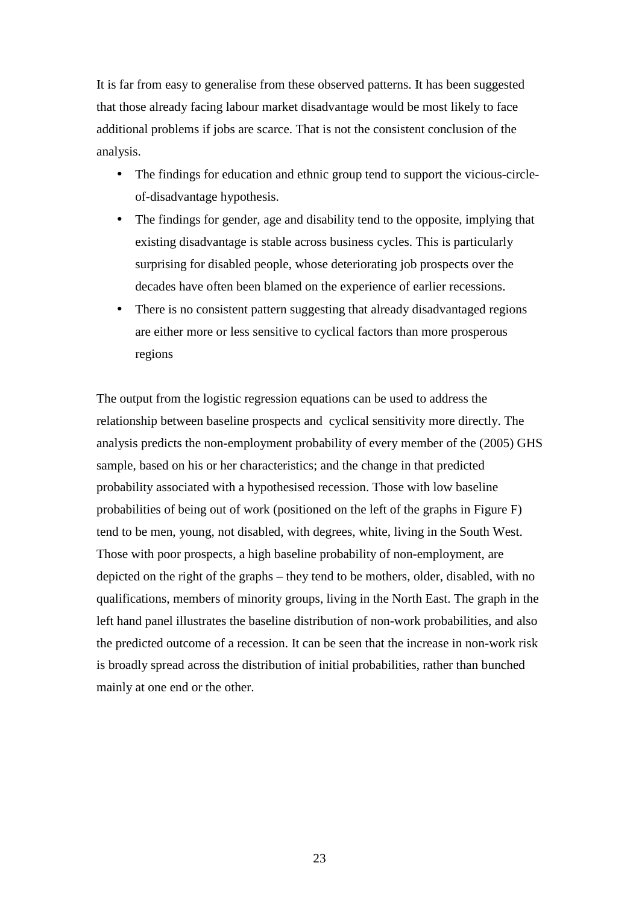It is far from easy to generalise from these observed patterns. It has been suggested that those already facing labour market disadvantage would be most likely to face additional problems if jobs are scarce. That is not the consistent conclusion of the analysis.

- The findings for education and ethnic group tend to support the vicious-circleof-disadvantage hypothesis.
- The findings for gender, age and disability tend to the opposite, implying that existing disadvantage is stable across business cycles. This is particularly surprising for disabled people, whose deteriorating job prospects over the decades have often been blamed on the experience of earlier recessions.
- There is no consistent pattern suggesting that already disadvantaged regions are either more or less sensitive to cyclical factors than more prosperous regions

The output from the logistic regression equations can be used to address the relationship between baseline prospects and cyclical sensitivity more directly. The analysis predicts the non-employment probability of every member of the (2005) GHS sample, based on his or her characteristics; and the change in that predicted probability associated with a hypothesised recession. Those with low baseline probabilities of being out of work (positioned on the left of the graphs in Figure F) tend to be men, young, not disabled, with degrees, white, living in the South West. Those with poor prospects, a high baseline probability of non-employment, are depicted on the right of the graphs – they tend to be mothers, older, disabled, with no qualifications, members of minority groups, living in the North East. The graph in the left hand panel illustrates the baseline distribution of non-work probabilities, and also the predicted outcome of a recession. It can be seen that the increase in non-work risk is broadly spread across the distribution of initial probabilities, rather than bunched mainly at one end or the other.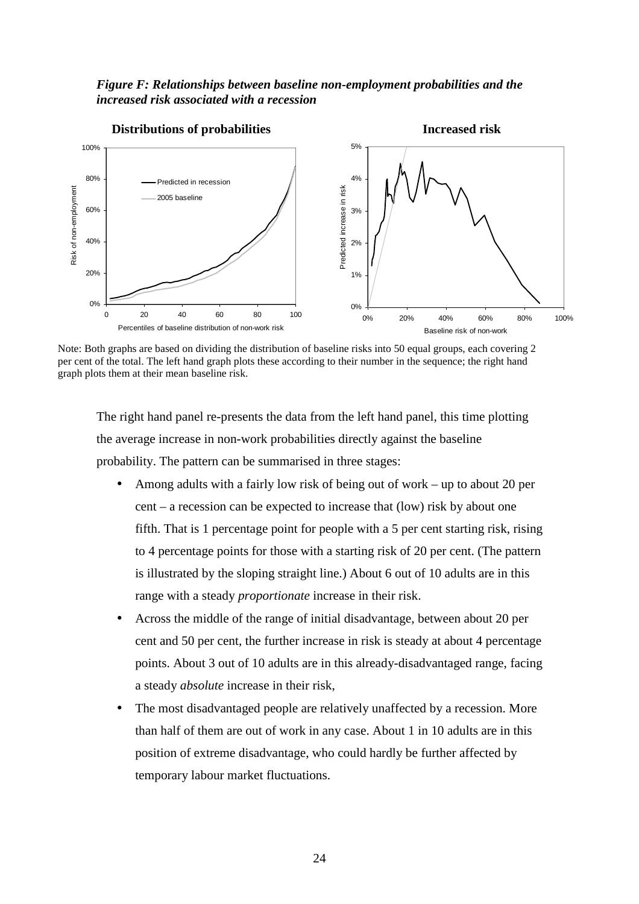#### *Figure F: Relationships between baseline non-employment probabilities and the increased risk associated with a recession*



Note: Both graphs are based on dividing the distribution of baseline risks into 50 equal groups, each covering 2 per cent of the total. The left hand graph plots these according to their number in the sequence; the right hand graph plots them at their mean baseline risk.

The right hand panel re-presents the data from the left hand panel, this time plotting the average increase in non-work probabilities directly against the baseline probability. The pattern can be summarised in three stages:

- Among adults with a fairly low risk of being out of work up to about 20 per cent – a recession can be expected to increase that (low) risk by about one fifth. That is 1 percentage point for people with a 5 per cent starting risk, rising to 4 percentage points for those with a starting risk of 20 per cent. (The pattern is illustrated by the sloping straight line.) About 6 out of 10 adults are in this range with a steady *proportionate* increase in their risk.
- Across the middle of the range of initial disadvantage, between about 20 per cent and 50 per cent, the further increase in risk is steady at about 4 percentage points. About 3 out of 10 adults are in this already-disadvantaged range, facing a steady *absolute* increase in their risk,
- The most disadvantaged people are relatively unaffected by a recession. More than half of them are out of work in any case. About 1 in 10 adults are in this position of extreme disadvantage, who could hardly be further affected by temporary labour market fluctuations.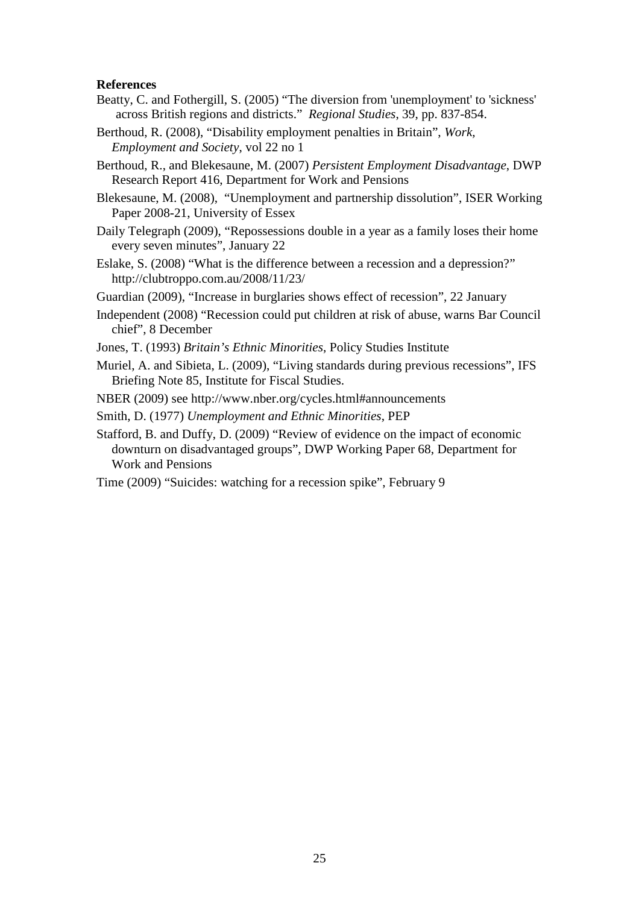#### **References**

- Beatty, C. and Fothergill, S. (2005) "The diversion from 'unemployment' to 'sickness' across British regions and districts." *Regional Studies*, 39, pp. 837-854.
- Berthoud, R. (2008), "Disability employment penalties in Britain", *Work, Employment and Society*, vol 22 no 1
- Berthoud, R., and Blekesaune, M. (2007) *Persistent Employment Disadvantage*, DWP Research Report 416, Department for Work and Pensions

Blekesaune, M. (2008), "Unemployment and partnership dissolution", ISER Working Paper 2008-21, University of Essex

- Daily Telegraph (2009), "Repossessions double in a year as a family loses their home every seven minutes", January 22
- Eslake, S. (2008) "What is the difference between a recession and a depression?" http://clubtroppo.com.au/2008/11/23/
- Guardian (2009), "Increase in burglaries shows effect of recession", 22 January
- Independent (2008) "Recession could put children at risk of abuse, warns Bar Council chief", 8 December
- Jones, T. (1993) *Britain's Ethnic Minorities*, Policy Studies Institute
- Muriel, A. and Sibieta, L. (2009), "Living standards during previous recessions", IFS Briefing Note 85, Institute for Fiscal Studies.
- NBER (2009) see http://www.nber.org/cycles.html#announcements
- Smith, D. (1977) *Unemployment and Ethnic Minorities*, PEP
- Stafford, B. and Duffy, D. (2009) "Review of evidence on the impact of economic downturn on disadvantaged groups", DWP Working Paper 68, Department for Work and Pensions
- Time (2009) "Suicides: watching for a recession spike", February 9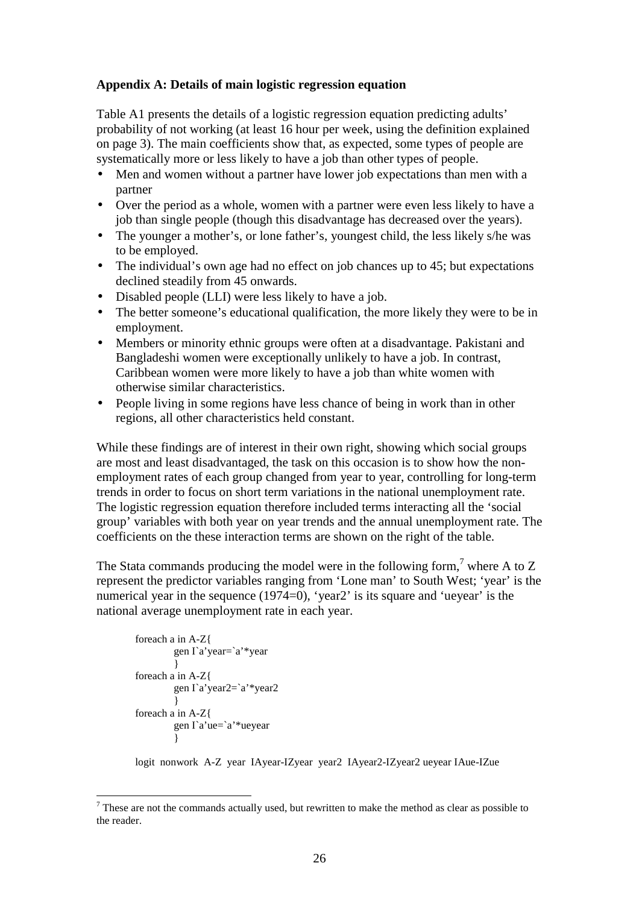#### **Appendix A: Details of main logistic regression equation**

Table A1 presents the details of a logistic regression equation predicting adults' probability of not working (at least 16 hour per week, using the definition explained on page 3). The main coefficients show that, as expected, some types of people are systematically more or less likely to have a job than other types of people.

- Men and women without a partner have lower job expectations than men with a partner
- Over the period as a whole, women with a partner were even less likely to have a job than single people (though this disadvantage has decreased over the years).
- The younger a mother's, or lone father's, youngest child, the less likely s/he was to be employed.
- The individual's own age had no effect on job chances up to 45; but expectations declined steadily from 45 onwards.
- Disabled people (LLI) were less likely to have a job.
- The better someone's educational qualification, the more likely they were to be in employment.
- Members or minority ethnic groups were often at a disadvantage. Pakistani and Bangladeshi women were exceptionally unlikely to have a job. In contrast, Caribbean women were more likely to have a job than white women with otherwise similar characteristics.
- People living in some regions have less chance of being in work than in other regions, all other characteristics held constant.

While these findings are of interest in their own right, showing which social groups are most and least disadvantaged, the task on this occasion is to show how the nonemployment rates of each group changed from year to year, controlling for long-term trends in order to focus on short term variations in the national unemployment rate. The logistic regression equation therefore included terms interacting all the 'social group' variables with both year on year trends and the annual unemployment rate. The coefficients on the these interaction terms are shown on the right of the table.

The Stata commands producing the model were in the following form,<sup>7</sup> where A to Z represent the predictor variables ranging from 'Lone man' to South West; 'year' is the numerical year in the sequence (1974=0), 'year2' is its square and 'ueyear' is the national average unemployment rate in each year.

```
foreach a in A-Z{ 
             gen I`a'year=`a'*year 
 } 
      foreach a in A-Z{ 
             gen I`a'year2=`a'*year2 
 } 
      foreach a in A-Z{ 
              gen I`a'ue=`a'*ueyear 
 }
```
 $\overline{a}$ 

logit nonwork A-Z year IAyear-IZyear year2 IAyear2-IZyear2 ueyear IAue-IZue

 $<sup>7</sup>$  These are not the commands actually used, but rewritten to make the method as clear as possible to</sup> the reader.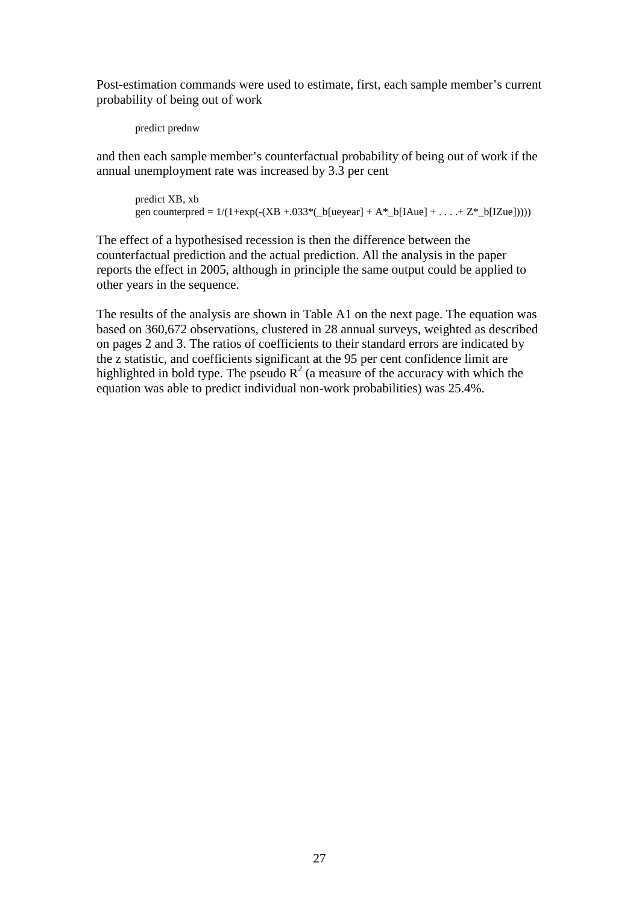Post-estimation commands were used to estimate, first, each sample member's current probability of being out of work

```
predict prednw
```
and then each sample member's counterfactual probability of being out of work if the annual unemployment rate was increased by 3.3 per cent

```
predict XB, xb 
gen counterpred = 1/(1+exp(-(XB + .033*(-b[ue year] + A*-b[IAue] + . . . . + Z*-b[IZue])))
```
The effect of a hypothesised recession is then the difference between the counterfactual prediction and the actual prediction. All the analysis in the paper reports the effect in 2005, although in principle the same output could be applied to other years in the sequence.

The results of the analysis are shown in Table A1 on the next page. The equation was based on 360,672 observations, clustered in 28 annual surveys, weighted as described on pages 2 and 3. The ratios of coefficients to their standard errors are indicated by the z statistic, and coefficients significant at the 95 per cent confidence limit are highlighted in bold type. The pseudo  $R^2$  (a measure of the accuracy with which the equation was able to predict individual non-work probabilities) was 25.4%.